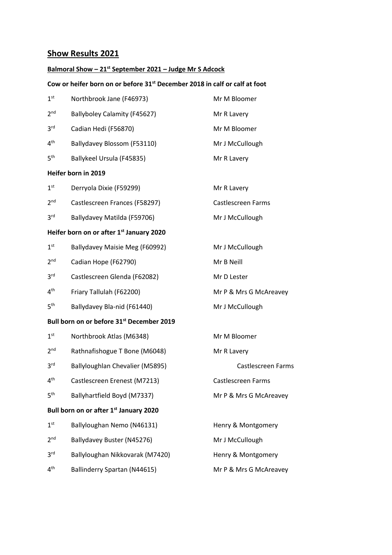# **Show Results 2021**

#### **Balmoral Show – 21st September 2021 – Judge Mr S Adcock**

#### **Cow or heifer born on or before 31st December 2018 in calf or calf at foot**

| 1 <sup>st</sup> | Northbrook Jane (F46973)      | Mr M Bloomer       |
|-----------------|-------------------------------|--------------------|
| 2 <sub>nd</sub> | Ballyboley Calamity (F45627)  | Mr R Lavery        |
| 3 <sup>rd</sup> | Cadian Hedi (F56870)          | Mr M Bloomer       |
| 4 <sup>th</sup> | Ballydavey Blossom (F53110)   | Mr J McCullough    |
| 5 <sup>th</sup> | Ballykeel Ursula (F45835)     | Mr R Lavery        |
|                 | Heifer born in 2019           |                    |
| 1 <sup>st</sup> | Derryola Dixie (F59299)       | Mr R Lavery        |
| 2 <sub>nd</sub> | Castlescreen Frances (F58297) | Castlescreen Farms |

- 
- $3<sup>rd</sup>$ Ballydavey Matilda (F59706) Mr J McCullough

# **Heifer born on or after 1st January 2020**

| 1 <sup>st</sup> | Ballydavey Maisie Meg (F60992) | Mr J McCullough        |
|-----------------|--------------------------------|------------------------|
| 2 <sup>nd</sup> | Cadian Hope (F62790)           | Mr B Neill             |
| 3 <sup>rd</sup> | Castlescreen Glenda (F62082)   | Mr D Lester            |
| 4 <sup>th</sup> | Friary Tallulah (F62200)       | Mr P & Mrs G McAreavey |
|                 |                                |                        |

 $5<sup>th</sup>$ Ballydavey Bla-nid (F61440) Mr J McCullough

## **Bull born on or before 31st December 2019**

| 1 <sup>st</sup> | Northbrook Atlas (M6348)                           | Mr M Bloomer           |
|-----------------|----------------------------------------------------|------------------------|
| 2 <sup>nd</sup> | Rathnafishogue T Bone (M6048)                      | Mr R Lavery            |
| 3 <sup>rd</sup> | Ballyloughlan Chevalier (M5895)                    | Castlescreen Farms     |
| 4 <sup>th</sup> | Castlescreen Erenest (M7213)                       | Castlescreen Farms     |
| 5 <sup>th</sup> | Ballyhartfield Boyd (M7337)                        | Mr P & Mrs G McAreavey |
|                 | Bull born on or after 1 <sup>st</sup> January 2020 |                        |
| $1^{\rm st}$    | Ballyloughan Nemo (N46131)                         | Henry & Montgomery     |
| 2 <sup>nd</sup> | Ballydavey Buster (N45276)                         | Mr J McCullough        |
| 3 <sup>rd</sup> | Ballyloughan Nikkovarak (M7420)                    | Henry & Montgomery     |
| 4 <sup>th</sup> | Ballinderry Spartan (N44615)                       | Mr P & Mrs G McAreavey |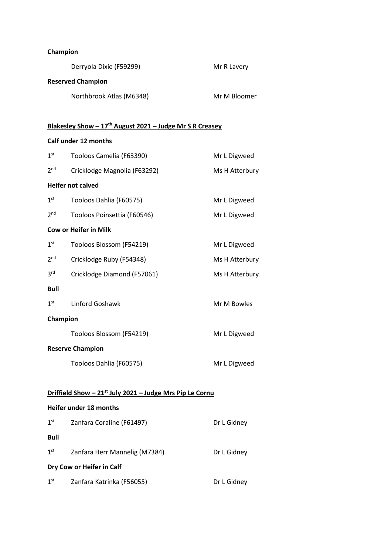#### **Champion**

|                 | Derryola Dixie (F59299)                                              | Mr R Lavery    |
|-----------------|----------------------------------------------------------------------|----------------|
|                 | <b>Reserved Champion</b>                                             |                |
|                 | Northbrook Atlas (M6348)                                             | Mr M Bloomer   |
|                 |                                                                      |                |
|                 | Blakesley Show - $17th$ August 2021 - Judge Mr S R Creasey           |                |
|                 | Calf under 12 months                                                 |                |
| 1 <sup>st</sup> | Tooloos Camelia (F63390)                                             | Mr L Digweed   |
| 2 <sup>nd</sup> | Cricklodge Magnolia (F63292)                                         | Ms H Atterbury |
|                 | <b>Heifer not calved</b>                                             |                |
| 1 <sup>st</sup> | Tooloos Dahlia (F60575)                                              | Mr L Digweed   |
| 2 <sup>nd</sup> | Tooloos Poinsettia (F60546)                                          | Mr L Digweed   |
|                 | <b>Cow or Heifer in Milk</b>                                         |                |
| 1 <sup>st</sup> | Tooloos Blossom (F54219)                                             | Mr L Digweed   |
| 2 <sup>nd</sup> | Cricklodge Ruby (F54348)                                             | Ms H Atterbury |
| 3 <sup>rd</sup> | Cricklodge Diamond (F57061)                                          | Ms H Atterbury |
| <b>Bull</b>     |                                                                      |                |
| 1 <sup>st</sup> | Linford Goshawk                                                      | Mr M Bowles    |
| Champion        |                                                                      |                |
|                 | Tooloos Blossom (F54219)                                             | Mr L Digweed   |
|                 | <b>Reserve Champion</b>                                              |                |
|                 | Tooloos Dahlia (F60575)                                              | Mr L Digweed   |
|                 |                                                                      |                |
|                 | Driffield Show - 21 <sup>st</sup> July 2021 - Judge Mrs Pip Le Cornu |                |
|                 | Heifer under 18 months                                               |                |
| 1 <sup>st</sup> | Zanfara Coraline (F61497)                                            | Dr L Gidney    |
| <b>Bull</b>     |                                                                      |                |
| 1 <sup>st</sup> | Zanfara Herr Mannelig (M7384)                                        | Dr L Gidney    |
|                 | Dry Cow or Heifer in Calf                                            |                |

1<sup>st</sup> Zanfara Katrinka (F56055) **Dr L Gidney**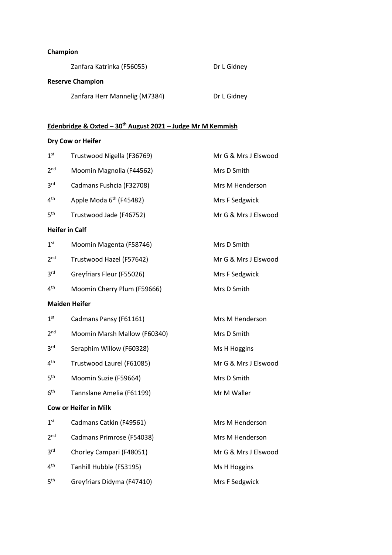# **Champion**

| Zanfara Katrinka (F56055)     | Dr L Gidney |
|-------------------------------|-------------|
| <b>Reserve Champion</b>       |             |
| Zanfara Herr Mannelig (M7384) | Dr L Gidney |

# **Edenbridge & Oxted – 30th August 2021 – Judge Mr M Kemmish**

# **Dry Cow or Heifer**

| 1 <sup>st</sup>       | Trustwood Nigella (F36769)          | Mr G & Mrs J Elswood |
|-----------------------|-------------------------------------|----------------------|
| 2 <sup>nd</sup>       | Moomin Magnolia (F44562)            | Mrs D Smith          |
| 3 <sup>rd</sup>       | Cadmans Fushcia (F32708)            | Mrs M Henderson      |
| 4 <sup>th</sup>       | Apple Moda 6 <sup>th</sup> (F45482) | Mrs F Sedgwick       |
| 5 <sup>th</sup>       | Trustwood Jade (F46752)             | Mr G & Mrs J Elswood |
| <b>Heifer in Calf</b> |                                     |                      |
| 1 <sup>st</sup>       | Moomin Magenta (F58746)             | Mrs D Smith          |
| 2 <sup>nd</sup>       | Trustwood Hazel (F57642)            | Mr G & Mrs J Elswood |
| 3 <sup>rd</sup>       | Greyfriars Fleur (F55026)           | Mrs F Sedgwick       |
| 4 <sup>th</sup>       | Moomin Cherry Plum (F59666)         | Mrs D Smith          |
| <b>Maiden Heifer</b>  |                                     |                      |
| 1 <sup>st</sup>       | Cadmans Pansy (F61161)              | Mrs M Henderson      |
| 2 <sup>nd</sup>       | Moomin Marsh Mallow (F60340)        | Mrs D Smith          |
| 3 <sup>rd</sup>       | Seraphim Willow (F60328)            | Ms H Hoggins         |
| 4 <sup>th</sup>       | Trustwood Laurel (F61085)           | Mr G & Mrs J Elswood |
| 5 <sup>th</sup>       | Moomin Suzie (F59664)               | Mrs D Smith          |
| 6 <sup>th</sup>       | Tannslane Amelia (F61199)           | Mr M Waller          |
|                       | <b>Cow or Heifer in Milk</b>        |                      |
| 1 <sup>st</sup>       | Cadmans Catkin (F49561)             | Mrs M Henderson      |
| 2 <sup>nd</sup>       | Cadmans Primrose (F54038)           | Mrs M Henderson      |
| 3 <sup>rd</sup>       | Chorley Campari (F48051)            | Mr G & Mrs J Elswood |
| 4 <sup>th</sup>       | Tanhill Hubble (F53195)             | Ms H Hoggins         |
| 5 <sup>th</sup>       | Greyfriars Didyma (F47410)          | Mrs F Sedgwick       |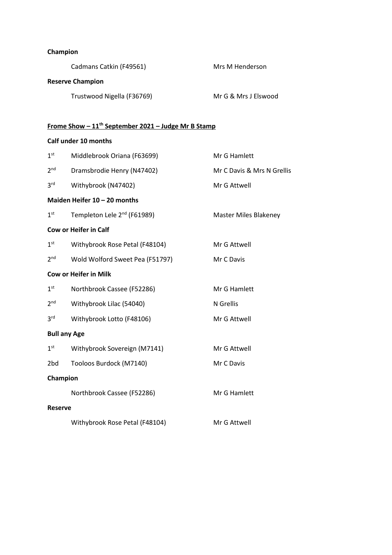#### **Champion**

|                          | Cadmans Catkin (F49561)                                         | Mrs M Henderson              |
|--------------------------|-----------------------------------------------------------------|------------------------------|
|                          | <b>Reserve Champion</b>                                         |                              |
|                          | Trustwood Nigella (F36769)                                      | Mr G & Mrs J Elswood         |
|                          |                                                                 |                              |
|                          | Frome Show - 11 <sup>th</sup> September 2021 - Judge Mr B Stamp |                              |
|                          | <b>Calf under 10 months</b>                                     |                              |
| 1 <sup>st</sup>          | Middlebrook Oriana (F63699)                                     | Mr G Hamlett                 |
| 2 <sup>nd</sup>          | Dramsbrodie Henry (N47402)                                      | Mr C Davis & Mrs N Grellis   |
| 3 <sup>rd</sup>          | Withybrook (N47402)                                             | Mr G Attwell                 |
|                          | Maiden Heifer 10 - 20 months                                    |                              |
| 1 <sup>st</sup>          | Templeton Lele 2 <sup>nd</sup> (F61989)                         | <b>Master Miles Blakeney</b> |
|                          | <b>Cow or Heifer in Calf</b>                                    |                              |
| 1 <sup>st</sup>          | Withybrook Rose Petal (F48104)                                  | Mr G Attwell                 |
| 2 <sup>nd</sup>          | Wold Wolford Sweet Pea (F51797)                                 | Mr C Davis                   |
|                          | <b>Cow or Heifer in Milk</b>                                    |                              |
| 1 <sup>st</sup>          | Northbrook Cassee (F52286)                                      | Mr G Hamlett                 |
| 2 <sup>nd</sup>          | Withybrook Lilac (54040)                                        | N Grellis                    |
| 3 <sup>rd</sup>          | Withybrook Lotto (F48106)                                       | Mr G Attwell                 |
|                          | <b>Bull any Age</b>                                             |                              |
| $\mathbf{1}^{\text{st}}$ | Withybrook Sovereign (M7141)                                    | Mr G Attwell                 |
| 2bd                      | Tooloos Burdock (M7140)                                         | Mr C Davis                   |
| Champion                 |                                                                 |                              |
|                          | Northbrook Cassee (F52286)                                      | Mr G Hamlett                 |
| <b>Reserve</b>           |                                                                 |                              |
|                          | Withybrook Rose Petal (F48104)                                  | Mr G Attwell                 |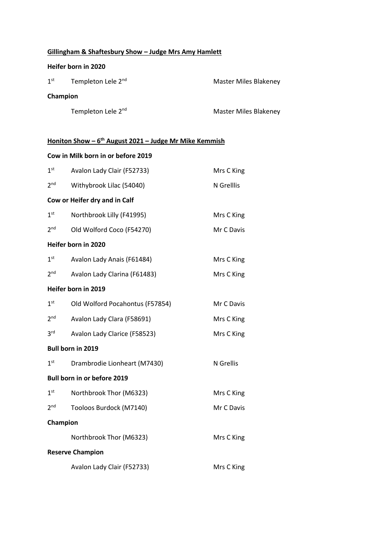# **Gillingham & Shaftesbury Show – Judge Mrs Amy Hamlett**

#### **Heifer born in 2020**

| 1 <sup>st</sup> | Templeton Lele 2 <sup>nd</sup> | <b>Master Miles Blakeney</b> |
|-----------------|--------------------------------|------------------------------|
|                 | Champion                       |                              |
|                 | Templeton Lele 2 <sup>nd</sup> | Master Miles Blakeney        |

#### **Honiton Show – 6 th August 2021 – Judge Mr Mike Kemmish**

## **Cow in Milk born in or before 2019**

| 1 <sup>st</sup> | Avalon Lady Clair (F52733)      | Mrs C King |
|-----------------|---------------------------------|------------|
| 2 <sub>nd</sub> | Withybrook Lilac (54040)        | N Grelllis |
|                 | Cow or Heifer dry and in Calf   |            |
| 1 <sup>st</sup> | Northbrook Lilly (F41995)       | Mrs C King |
| 2 <sub>nd</sub> | Old Wolford Coco (F54270)       | Mr C Davis |
|                 | Heifer born in 2020             |            |
| 1 <sup>st</sup> | Avalon Lady Anais (F61484)      | Mrs C King |
| 2 <sub>nd</sub> | Avalon Lady Clarina (F61483)    | Mrs C King |
|                 | Heifer born in 2019             |            |
| 1 <sup>st</sup> | Old Wolford Pocahontus (F57854) | Mr C Davis |
| 2 <sup>nd</sup> | Avalon Lady Clara (F58691)      | Mrs C King |
| 3 <sup>rd</sup> | Avalon Lady Clarice (F58523)    | Mrs C King |
|                 | <b>Bull born in 2019</b>        |            |
| 1 <sup>st</sup> | Drambrodie Lionheart (M7430)    | N Grellis  |
|                 | Bull born in or before 2019     |            |
| 1 <sup>st</sup> | Northbrook Thor (M6323)         | Mrs C King |
| 2 <sup>nd</sup> | Tooloos Burdock (M7140)         | Mr C Davis |
| Champion        |                                 |            |
|                 | Northbrook Thor (M6323)         | Mrs C King |
|                 | <b>Reserve Champion</b>         |            |
|                 | Avalon Lady Clair (F52733)      | Mrs C King |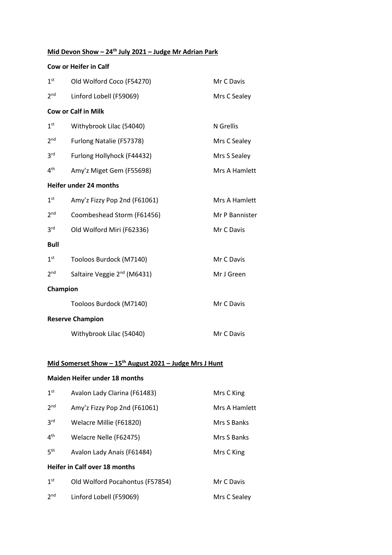# **Mid Devon Show – 24th July 2021 – Judge Mr Adrian Park**

|                 | <b>Cow or Heifer in Calf</b>            |                |
|-----------------|-----------------------------------------|----------------|
| 1 <sup>st</sup> | Old Wolford Coco (F54270)               | Mr C Davis     |
| 2 <sup>nd</sup> | Linford Lobell (F59069)                 | Mrs C Sealey   |
|                 | <b>Cow or Calf in Milk</b>              |                |
| 1 <sup>st</sup> | Withybrook Lilac (54040)                | N Grellis      |
| 2 <sup>nd</sup> | Furlong Natalie (F57378)                | Mrs C Sealey   |
| 3 <sup>rd</sup> | Furlong Hollyhock (F44432)              | Mrs S Sealey   |
| 4 <sup>th</sup> | Amy'z Miget Gem (F55698)                | Mrs A Hamlett  |
|                 | Heifer under 24 months                  |                |
| 1 <sup>st</sup> | Amy'z Fizzy Pop 2nd (F61061)            | Mrs A Hamlett  |
| 2 <sup>nd</sup> | Coombeshead Storm (F61456)              | Mr P Bannister |
| 3 <sup>rd</sup> | Old Wolford Miri (F62336)               | Mr C Davis     |
| <b>Bull</b>     |                                         |                |
| 1 <sup>st</sup> | Tooloos Burdock (M7140)                 | Mr C Davis     |
| 2 <sup>nd</sup> | Saltaire Veggie 2 <sup>nd</sup> (M6431) | Mr J Green     |
| Champion        |                                         |                |
|                 | Tooloos Burdock (M7140)                 | Mr C Davis     |
|                 | <b>Reserve Champion</b>                 |                |
|                 | Withybrook Lilac (54040)                | Mr C Davis     |

# **Mid Somerset Show – 15th August 2021 – Judge Mrs J Hunt**

#### **Maiden Heifer under 18 months**

| 1 <sup>st</sup> | Avalon Lady Clarina (F61483)         | Mrs C King    |
|-----------------|--------------------------------------|---------------|
| 2 <sub>nd</sub> | Amy'z Fizzy Pop 2nd (F61061)         | Mrs A Hamlett |
| 3 <sup>rd</sup> | Welacre Millie (F61820)              | Mrs S Banks   |
| 4 <sup>th</sup> | Welacre Nelle (F62475)               | Mrs S Banks   |
| 5 <sup>th</sup> | Avalon Lady Anais (F61484)           | Mrs C King    |
|                 | <b>Heifer in Calf over 18 months</b> |               |
| 1 <sup>st</sup> | Old Wolford Pocahontus (F57854)      | Mr C Davis    |
| 2 <sup>nd</sup> | Linford Lobell (F59069)              | Mrs C Sealey  |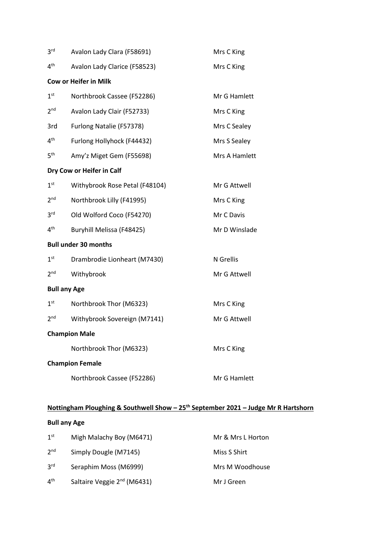| Mrs C King    |
|---------------|
|               |
|               |
| Mr G Hamlett  |
| Mrs C King    |
| Mrs C Sealey  |
| Mrs S Sealey  |
| Mrs A Hamlett |
|               |
| Mr G Attwell  |
| Mrs C King    |
| Mr C Davis    |
| Mr D Winslade |
|               |
| N Grellis     |
| Mr G Attwell  |
|               |
| Mrs C King    |
| Mr G Attwell  |
|               |
|               |
| Mrs C King    |
|               |
|               |

# **Nottingham Ploughing & Southwell Show – 25th September 2021 – Judge Mr R Hartshorn**

# **Bull any Age**

| 1 <sup>st</sup> | Migh Malachy Boy (M6471)                | Mr & Mrs L Horton |
|-----------------|-----------------------------------------|-------------------|
| 2 <sup>nd</sup> | Simply Dougle (M7145)                   | Miss S Shirt      |
| 3 <sup>rd</sup> | Seraphim Moss (M6999)                   | Mrs M Woodhouse   |
| 4 <sup>th</sup> | Saltaire Veggie 2 <sup>nd</sup> (M6431) | Mr J Green        |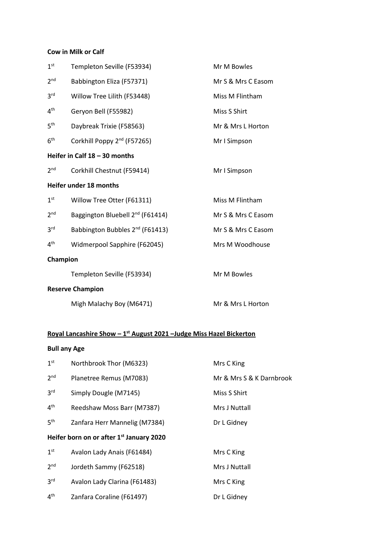### **Cow in Milk or Calf**

| 1 <sup>st</sup>                 | Templeton Seville (F53934)                   | Mr M Bowles        |
|---------------------------------|----------------------------------------------|--------------------|
| 2 <sub>nd</sub>                 | Babbington Eliza (F57371)                    | Mr S & Mrs C Easom |
| 3 <sup>rd</sup>                 | Willow Tree Lilith (F53448)                  | Miss M Flintham    |
| 4 <sup>th</sup>                 | Geryon Bell (F55982)                         | Miss S Shirt       |
| 5 <sup>th</sup>                 | Daybreak Trixie (F58563)                     | Mr & Mrs L Horton  |
| 6 <sup>th</sup>                 | Corkhill Poppy 2 <sup>nd</sup> (F57265)      | Mr I Simpson       |
| Heifer in Calf $18 - 30$ months |                                              |                    |
| 2 <sup>nd</sup>                 | Corkhill Chestnut (F59414)                   | Mr I Simpson       |
| Heifer under 18 months          |                                              |                    |
| 1 <sup>st</sup>                 | Willow Tree Otter (F61311)                   | Miss M Flintham    |
| 2 <sub>nd</sub>                 | Baggington Bluebell 2 <sup>nd</sup> (F61414) | Mr S & Mrs C Easom |
| 3 <sup>rd</sup>                 | Babbington Bubbles 2 <sup>nd</sup> (F61413)  | Mr S & Mrs C Easom |
| 4 <sup>th</sup>                 | Widmerpool Sapphire (F62045)                 | Mrs M Woodhouse    |
| Champion                        |                                              |                    |
|                                 | Templeton Seville (F53934)                   | Mr M Bowles        |
| <b>Reserve Champion</b>         |                                              |                    |
|                                 | Migh Malachy Boy (M6471)                     | Mr & Mrs L Horton  |

#### **Royal Lancashire Show – 1 st August 2021 –Judge Miss Hazel Bickerton**

# **Bull any Age**

| 1 <sup>st</sup>                                      | Northbrook Thor (M6323)       | Mrs C King               |
|------------------------------------------------------|-------------------------------|--------------------------|
| 2 <sub>nd</sub>                                      | Planetree Remus (M7083)       | Mr & Mrs S & K Darnbrook |
| 3 <sup>rd</sup>                                      | Simply Dougle (M7145)         | Miss S Shirt             |
| 4 <sup>th</sup>                                      | Reedshaw Moss Barr (M7387)    | Mrs J Nuttall            |
| 5 <sup>th</sup>                                      | Zanfara Herr Mannelig (M7384) | Dr L Gidney              |
| Heifer born on or after 1 <sup>st</sup> January 2020 |                               |                          |
| 1 <sup>st</sup>                                      | Avalon Lady Anais (F61484)    | Mrs C King               |
| 2 <sub>nd</sub>                                      | Jordeth Sammy (F62518)        | Mrs J Nuttall            |
| 3 <sup>rd</sup>                                      | Avalon Lady Clarina (F61483)  | Mrs C King               |
| 4 <sup>th</sup>                                      | Zanfara Coraline (F61497)     | Dr L Gidney              |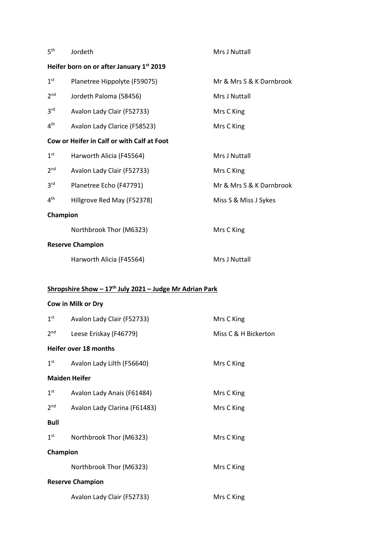| 5 <sup>th</sup>                          | Jordeth                                                             | Mrs J Nuttall            |  |
|------------------------------------------|---------------------------------------------------------------------|--------------------------|--|
| Heifer born on or after January 1st 2019 |                                                                     |                          |  |
| 1 <sup>st</sup>                          | Planetree Hippolyte (F59075)                                        | Mr & Mrs S & K Darnbrook |  |
| 2 <sup>nd</sup>                          | Jordeth Paloma (58456)                                              | Mrs J Nuttall            |  |
| 3 <sup>rd</sup>                          | Avalon Lady Clair (F52733)                                          | Mrs C King               |  |
| 4 <sup>th</sup>                          | Avalon Lady Clarice (F58523)                                        | Mrs C King               |  |
|                                          | Cow or Heifer in Calf or with Calf at Foot                          |                          |  |
| 1 <sup>st</sup>                          | Harworth Alicia (F45564)                                            | Mrs J Nuttall            |  |
| 2 <sup>nd</sup>                          | Avalon Lady Clair (F52733)                                          | Mrs C King               |  |
| 3 <sup>rd</sup>                          | Planetree Echo (F47791)                                             | Mr & Mrs S & K Darnbrook |  |
| 4 <sup>th</sup>                          | Hillgrove Red May (F52378)                                          | Miss S & Miss J Sykes    |  |
| Champion                                 |                                                                     |                          |  |
|                                          | Northbrook Thor (M6323)                                             | Mrs C King               |  |
|                                          | <b>Reserve Champion</b>                                             |                          |  |
|                                          | Harworth Alicia (F45564)                                            | Mrs J Nuttall            |  |
|                                          |                                                                     |                          |  |
|                                          | Shropshire Show - 17 <sup>th</sup> July 2021 - Judge Mr Adrian Park |                          |  |
|                                          | Cow in Milk or Dry                                                  |                          |  |
| 1 <sup>st</sup>                          | Avalon Lady Clair (F52733)                                          | Mrs C King               |  |
| 2 <sub>nd</sub>                          | Leese Eriskay (F46779)                                              | Miss C & H Bickerton     |  |
| Heifer over 18 months                    |                                                                     |                          |  |
| 1 <sup>st</sup>                          | Avalon Lady Lilth (F56640)                                          | Mrs C King               |  |
| <b>Maiden Heifer</b>                     |                                                                     |                          |  |
| 1 <sup>st</sup>                          | Avalon Lady Anais (F61484)                                          | Mrs C King               |  |
| 2 <sup>nd</sup>                          | Avalon Lady Clarina (F61483)                                        | Mrs C King               |  |
| <b>Bull</b>                              |                                                                     |                          |  |
| 1 <sup>st</sup>                          | Northbrook Thor (M6323)                                             | Mrs C King               |  |
| Champion                                 |                                                                     |                          |  |
|                                          | Northbrook Thor (M6323)                                             | Mrs C King               |  |
| <b>Reserve Champion</b>                  |                                                                     |                          |  |
|                                          | Avalon Lady Clair (F52733)                                          | Mrs C King               |  |